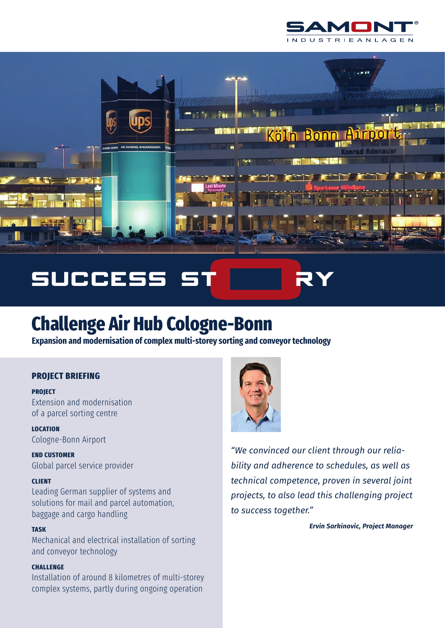



# **SUCCESS**

# **Challenge Air Hub Cologne-Bonn**

**Expansion and modernisation of complex multi-storey sorting and conveyor technology**

# **PROJECT BRIEFING**

**PROJECT**

Extension and modernisation of a parcel sorting centre

**LOCATION**  Cologne-Bonn Airport

**END CUSTOMER** Global parcel service provider

# **CLIENT**

Leading German supplier of systems and solutions for mail and parcel automation, baggage and cargo handling

## **TASK**

Mechanical and electrical installation of sorting and conveyor technology

# **CHALLENGE**

Installation of around 8 kilometres of multi-storey complex systems, partly during ongoing operation



*"We convinced our client through our reliability and adherence to schedules, as well as technical competence, proven in several joint projects, to also lead this challenging project to success together."* 

*Ervin Sarkinovic, Project Manager*